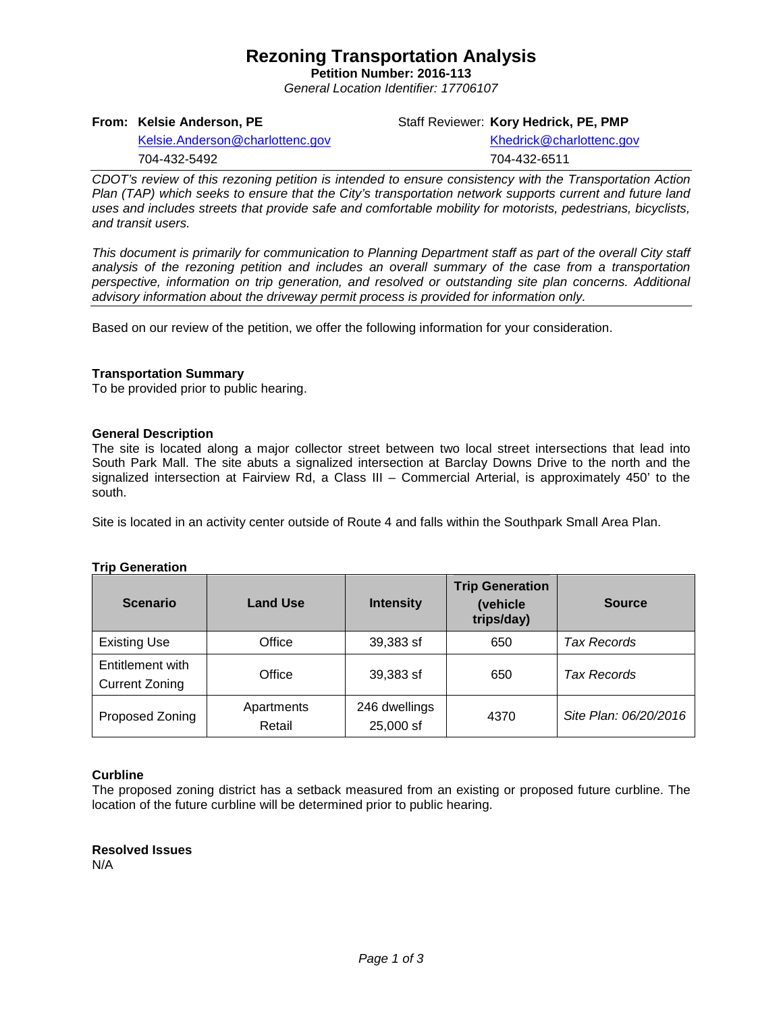## **Rezoning Transportation Analysis**

**Petition Number: 2016-113** *General Location Identifier: 17706107*

**From: Kelsie Anderson, PE**

Staff Reviewer: **Kory Hedrick, PE, PMP**

[Kelsie.Anderson@charlottenc.gov](mailto:Kelsie.Anderson@charlottenc.gov) 704-432-5492

[Khedrick@charlottenc.gov](file://CHARLOTTE/CoCDFS/Planning/Applications/GIS%201/Development%20Services/Land_Development/Rezoning/2016/2016-110/Khedrick@charlottenc.gov) 704-432-6511

*CDOT's review of this rezoning petition is intended to ensure consistency with the Transportation Action Plan (TAP) which seeks to ensure that the City's transportation network supports current and future land uses and includes streets that provide safe and comfortable mobility for motorists, pedestrians, bicyclists, and transit users.*

*This document is primarily for communication to Planning Department staff as part of the overall City staff analysis of the rezoning petition and includes an overall summary of the case from a transportation perspective, information on trip generation, and resolved or outstanding site plan concerns. Additional advisory information about the driveway permit process is provided for information only.*

Based on our review of the petition, we offer the following information for your consideration.

#### **Transportation Summary**

To be provided prior to public hearing.

#### **General Description**

The site is located along a major collector street between two local street intersections that lead into South Park Mall. The site abuts a signalized intersection at Barclay Downs Drive to the north and the signalized intersection at Fairview Rd, a Class III – Commercial Arterial, is approximately 450' to the south.

Site is located in an activity center outside of Route 4 and falls within the Southpark Small Area Plan.

| <b>Trip Generation</b> |  |
|------------------------|--|
|                        |  |

| <b>Scenario</b>                           | <b>Land Use</b>      | <b>Intensity</b>           | <b>Trip Generation</b><br>(vehicle<br>trips/day) | <b>Source</b>         |
|-------------------------------------------|----------------------|----------------------------|--------------------------------------------------|-----------------------|
| <b>Existing Use</b>                       | Office               | 39,383 sf                  | 650                                              | Tax Records           |
| Entitlement with<br><b>Current Zoning</b> | Office               | 39,383 sf                  | 650                                              | Tax Records           |
| Proposed Zoning                           | Apartments<br>Retail | 246 dwellings<br>25,000 sf | 4370                                             | Site Plan: 06/20/2016 |

#### **Curbline**

The proposed zoning district has a setback measured from an existing or proposed future curbline. The location of the future curbline will be determined prior to public hearing.

**Resolved Issues** N/A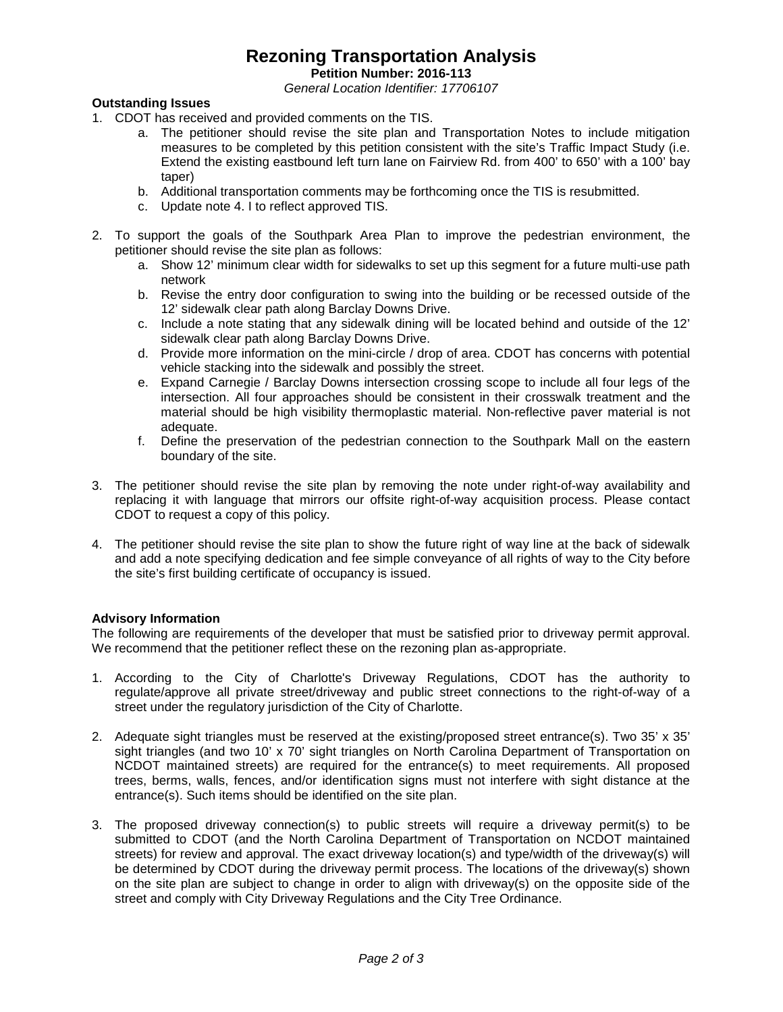# **Rezoning Transportation Analysis**

**Petition Number: 2016-113**

*General Location Identifier: 17706107*

## **Outstanding Issues**

- 1. CDOT has received and provided comments on the TIS.
	- a. The petitioner should revise the site plan and Transportation Notes to include mitigation measures to be completed by this petition consistent with the site's Traffic Impact Study (i.e. Extend the existing eastbound left turn lane on Fairview Rd. from 400' to 650' with a 100' bay taper)
	- b. Additional transportation comments may be forthcoming once the TIS is resubmitted.
	- c. Update note 4. I to reflect approved TIS.
- 2. To support the goals of the Southpark Area Plan to improve the pedestrian environment, the petitioner should revise the site plan as follows:
	- a. Show 12' minimum clear width for sidewalks to set up this segment for a future multi-use path network
	- b. Revise the entry door configuration to swing into the building or be recessed outside of the 12' sidewalk clear path along Barclay Downs Drive.
	- c. Include a note stating that any sidewalk dining will be located behind and outside of the 12' sidewalk clear path along Barclay Downs Drive.
	- d. Provide more information on the mini-circle / drop of area. CDOT has concerns with potential vehicle stacking into the sidewalk and possibly the street.
	- e. Expand Carnegie / Barclay Downs intersection crossing scope to include all four legs of the intersection. All four approaches should be consistent in their crosswalk treatment and the material should be high visibility thermoplastic material. Non-reflective paver material is not adequate.
	- f. Define the preservation of the pedestrian connection to the Southpark Mall on the eastern boundary of the site.
- 3. The petitioner should revise the site plan by removing the note under right-of-way availability and replacing it with language that mirrors our offsite right-of-way acquisition process. Please contact CDOT to request a copy of this policy.
- 4. The petitioner should revise the site plan to show the future right of way line at the back of sidewalk and add a note specifying dedication and fee simple conveyance of all rights of way to the City before the site's first building certificate of occupancy is issued.

### **Advisory Information**

The following are requirements of the developer that must be satisfied prior to driveway permit approval. We recommend that the petitioner reflect these on the rezoning plan as-appropriate.

- 1. According to the City of Charlotte's Driveway Regulations, CDOT has the authority to regulate/approve all private street/driveway and public street connections to the right-of-way of a street under the regulatory jurisdiction of the City of Charlotte.
- 2. Adequate sight triangles must be reserved at the existing/proposed street entrance(s). Two 35' x 35' sight triangles (and two 10' x 70' sight triangles on North Carolina Department of Transportation on NCDOT maintained streets) are required for the entrance(s) to meet requirements. All proposed trees, berms, walls, fences, and/or identification signs must not interfere with sight distance at the entrance(s). Such items should be identified on the site plan.
- 3. The proposed driveway connection(s) to public streets will require a driveway permit(s) to be submitted to CDOT (and the North Carolina Department of Transportation on NCDOT maintained streets) for review and approval. The exact driveway location(s) and type/width of the driveway(s) will be determined by CDOT during the driveway permit process. The locations of the driveway(s) shown on the site plan are subject to change in order to align with driveway(s) on the opposite side of the street and comply with City Driveway Regulations and the City Tree Ordinance.